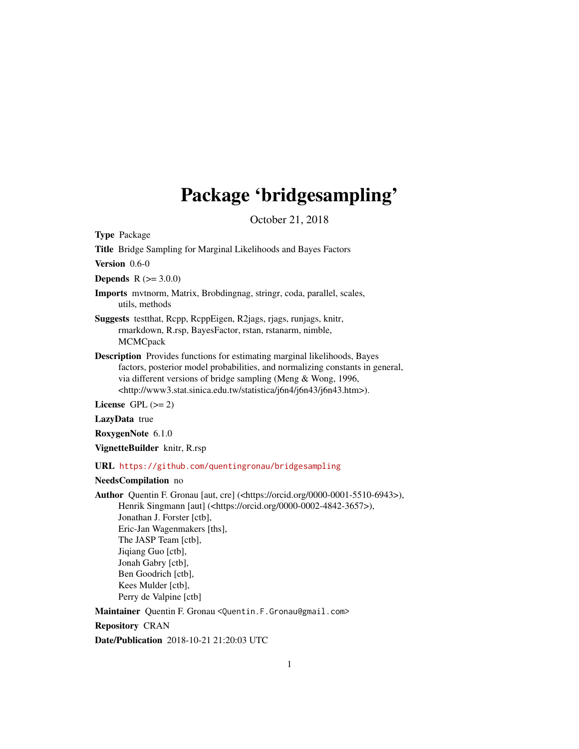# Package 'bridgesampling'

October 21, 2018

<span id="page-0-0"></span>Type Package

Title Bridge Sampling for Marginal Likelihoods and Bayes Factors

Version 0.6-0

**Depends**  $R (= 3.0.0)$ 

Imports mvtnorm, Matrix, Brobdingnag, stringr, coda, parallel, scales, utils, methods

Suggests testthat, Rcpp, RcppEigen, R2jags, rjags, runjags, knitr, rmarkdown, R.rsp, BayesFactor, rstan, rstanarm, nimble, **MCMCpack** 

Description Provides functions for estimating marginal likelihoods, Bayes factors, posterior model probabilities, and normalizing constants in general, via different versions of bridge sampling (Meng & Wong, 1996, <http://www3.stat.sinica.edu.tw/statistica/j6n4/j6n43/j6n43.htm>).

License GPL  $(>= 2)$ 

LazyData true

RoxygenNote 6.1.0

VignetteBuilder knitr, R.rsp

URL <https://github.com/quentingronau/bridgesampling>

# NeedsCompilation no

Author Quentin F. Gronau [aut, cre] (<https://orcid.org/0000-0001-5510-6943>), Henrik Singmann [aut] (<https://orcid.org/0000-0002-4842-3657>), Jonathan J. Forster [ctb], Eric-Jan Wagenmakers [ths], The JASP Team [ctb], Jiqiang Guo [ctb], Jonah Gabry [ctb], Ben Goodrich [ctb], Kees Mulder [ctb], Perry de Valpine [ctb]

Maintainer Quentin F. Gronau <Quentin.F.Gronau@gmail.com>

Repository CRAN

Date/Publication 2018-10-21 21:20:03 UTC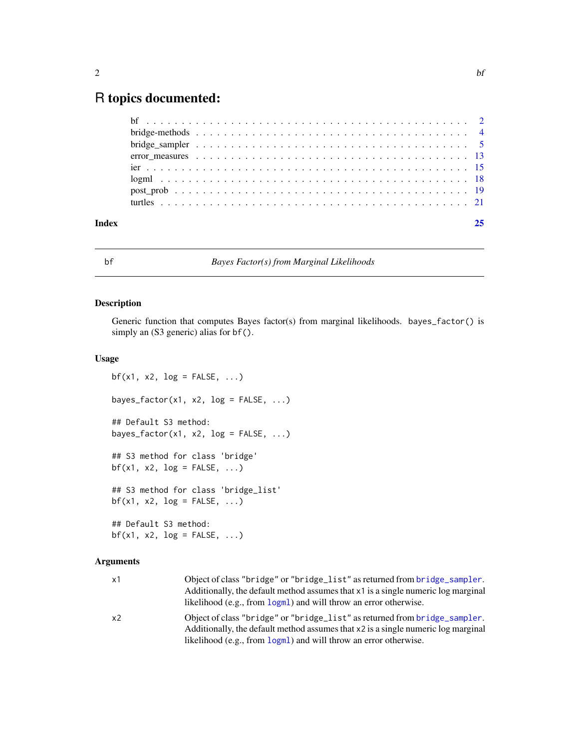# <span id="page-1-0"></span>R topics documented:

| Index |  |  |
|-------|--|--|
|       |  |  |
|       |  |  |
|       |  |  |
|       |  |  |
|       |  |  |
|       |  |  |
|       |  |  |
|       |  |  |

<span id="page-1-1"></span>

# bf *Bayes Factor(s) from Marginal Likelihoods*

# Description

Generic function that computes Bayes factor(s) from marginal likelihoods. bayes\_factor() is simply an (S3 generic) alias for  $bf($ ).

# Usage

```
bf(x1, x2, log = FALSE, ...)bayes_factor(x1, x2, log = FALSE, ...)
## Default S3 method:
bayes_factor(x1, x2, log = FALSE, ...)
## S3 method for class 'bridge'
bf(x1, x2, log = FALSE, ...)## S3 method for class 'bridge_list'
bf(x1, x2, log = FALSE, ...)## Default S3 method:
bf(x1, x2, log = FALSE, ...)
```
# Arguments

| x1 | Object of class "bridge" or "bridge_list" as returned from bridge_sampler.<br>Additionally, the default method assumes that $x_1$ is a single numeric log marginal<br>likelihood (e.g., from logml) and will throw an error otherwise. |
|----|----------------------------------------------------------------------------------------------------------------------------------------------------------------------------------------------------------------------------------------|
| x2 | Object of class "bridge" or "bridge_list" as returned from bridge_sampler.<br>Additionally, the default method assumes that x2 is a single numeric log marginal<br>likelihood (e.g., from logml) and will throw an error otherwise.    |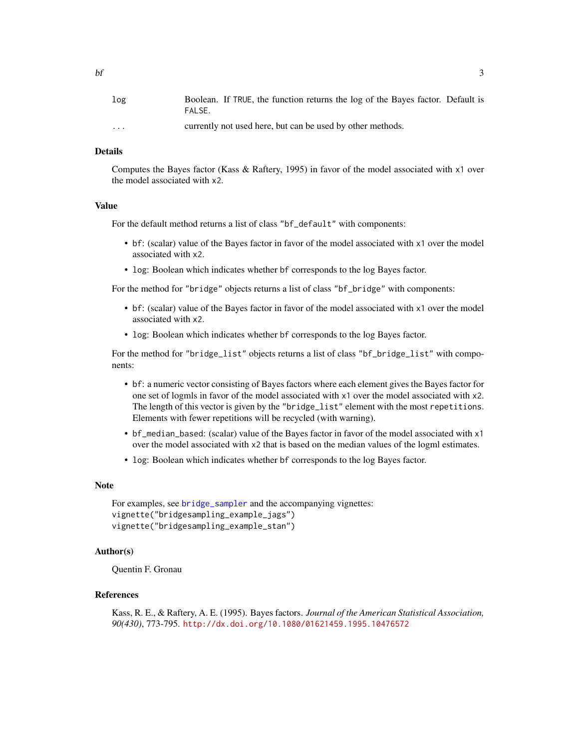| log                     | Boolean. If TRUE, the function returns the log of the Bayes factor. Default is<br>FALSE. |
|-------------------------|------------------------------------------------------------------------------------------|
| $\cdot$ $\cdot$ $\cdot$ | currently not used here, but can be used by other methods.                               |

# Details

Computes the Bayes factor (Kass & Raftery, 1995) in favor of the model associated with x1 over the model associated with x2.

#### Value

For the default method returns a list of class "bf\_default" with components:

- bf: (scalar) value of the Bayes factor in favor of the model associated with x1 over the model associated with x2.
- log: Boolean which indicates whether bf corresponds to the log Bayes factor.

For the method for "bridge" objects returns a list of class "bf\_bridge" with components:

- bf: (scalar) value of the Bayes factor in favor of the model associated with x1 over the model associated with x2.
- log: Boolean which indicates whether bf corresponds to the log Bayes factor.

For the method for "bridge\_list" objects returns a list of class "bf\_bridge\_list" with components:

- bf: a numeric vector consisting of Bayes factors where each element gives the Bayes factor for one set of logmls in favor of the model associated with x1 over the model associated with x2. The length of this vector is given by the "bridge\_list" element with the most repetitions. Elements with fewer repetitions will be recycled (with warning).
- bf\_median\_based: (scalar) value of the Bayes factor in favor of the model associated with x1 over the model associated with x2 that is based on the median values of the logml estimates.
- log: Boolean which indicates whether bf corresponds to the log Bayes factor.

# Note

For examples, see [bridge\\_sampler](#page-4-1) and the accompanying vignettes: vignette("bridgesampling\_example\_jags") vignette("bridgesampling\_example\_stan")

# Author(s)

Quentin F. Gronau

# References

Kass, R. E., & Raftery, A. E. (1995). Bayes factors. *Journal of the American Statistical Association, 90(430)*, 773-795. <http://dx.doi.org/10.1080/01621459.1995.10476572>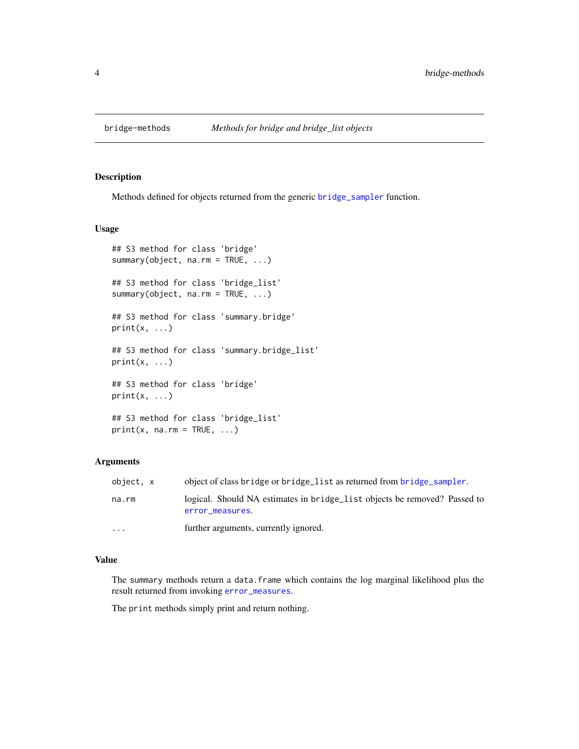<span id="page-3-1"></span><span id="page-3-0"></span>

# Description

Methods defined for objects returned from the generic [bridge\\_sampler](#page-4-1) function.

# Usage

```
## S3 method for class 'bridge'
summary(object, na.rm = TRUE, ...)
## S3 method for class 'bridge_list'
summary(object, na.rm = TRUE, ...)
## S3 method for class 'summary.bridge'
print(x, \ldots)## S3 method for class 'summary.bridge_list'
print(x, \ldots)## S3 method for class 'bridge'
print(x, \ldots)## S3 method for class 'bridge_list'
print(x, na.rm = TRUE, ...)
```
#### Arguments

| object, x | object of class bridge or bridge list as returned from bridge sampler.                       |
|-----------|----------------------------------------------------------------------------------------------|
| na.rm     | logical. Should NA estimates in bridge_list objects be removed? Passed to<br>error measures. |
| $\ddotsc$ | further arguments, currently ignored.                                                        |

#### Value

The summary methods return a data.frame which contains the log marginal likelihood plus the result returned from invoking [error\\_measures](#page-12-1).

The print methods simply print and return nothing.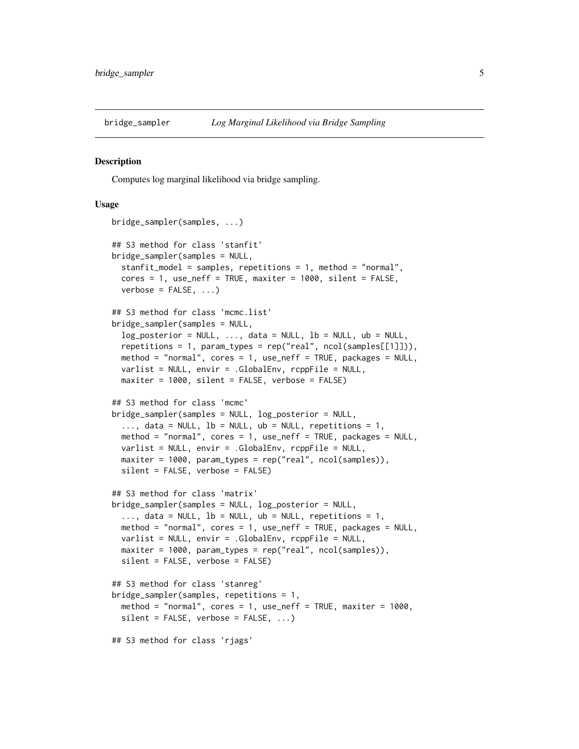<span id="page-4-1"></span><span id="page-4-0"></span>

#### Description

Computes log marginal likelihood via bridge sampling.

#### Usage

```
bridge_sampler(samples, ...)
## S3 method for class 'stanfit'
bridge_sampler(samples = NULL,
  stanfit_model = samples, repetitions = 1, method = "normal",
  cores = 1, use_neff = TRUE, maxiter = 1000, silent = FALSE,
  verbose = FALSE, ...## S3 method for class 'mcmc.list'
bridge_sampler(samples = NULL,
  log\_posterior = NULL, ..., data = NULL, lb = NULL, ub = NULL,repetitions = 1, param_types = rep("real", ncol(samples[[1]])),
 method = "normal", cores = 1, use_neff = TRUE, packages = NULL,
  varlist = NULL, envir = .GlobalEnv, rcppFile = NULL,
 maxiter = 1000, silent = FALSE, verbose = FALSE)
## S3 method for class 'mcmc'
bridge_sampler(samples = NULL, log_posterior = NULL,
  ..., data = NULL, lb = NULL, ub = NULL, repetitions = 1,
 method = "normal", cores = 1, use_neff = TRUE, packages = NULL,
 varlist = NULL, envir = .GlobalEnv, rcppFile = NULL,
 maxiter = 1000, param_types = rep("real", ncol(samples)),
  silent = FALSE, verbose = FALSE)
## S3 method for class 'matrix'
bridge_sampler(samples = NULL, log_posterior = NULL,
  \ldots, data = NULL, lb = NULL, ub = NULL, repetitions = 1,
 method = "normal", cores = 1, use_neff = TRUE, packages = NULL,
  varlist = NULL, envir = .GlobalEnv, rcppFile = NULL,
 maxiter = 1000, param_types = rep("real", ncol(samples)),
  silent = FALSE, verbose = FALSE)
## S3 method for class 'stanreg'
bridge_sampler(samples, repetitions = 1,
  method = "normal", cores = 1, use_neff = TRUE, maxiter = 1000,
  silent = FALSE, verbose = FALSE, ...)## S3 method for class 'rjags'
```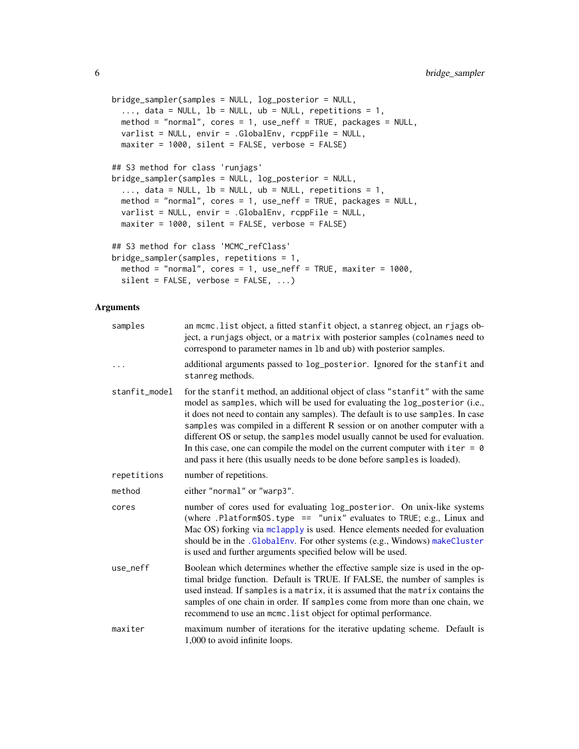```
bridge_sampler(samples = NULL, log_posterior = NULL,
 ..., data = NULL, 1b = NULL, ub = NULL, repetitions = 1,
 method = "normal", cores = 1, use_neff = TRUE, packages = NULL,
 varlist = NULL, envir = .GlobalEnv, rcppFile = NULL,
 maxiter = 1000, silent = FALSE, verbose = FALSE)
## S3 method for class 'runjags'
bridge_sampler(samples = NULL, log_posterior = NULL,
  ..., data = NULL, 1b = NULL, ub = NULL, repetitions = 1,
 method = "normal", cores = 1, use_neff = TRUE, packages = NULL,
 varlist = NULL, envir = .GlobalEnv, rcppFile = NULL,
 maxiter = 1000, silent = FALSE, verbose = FALSE)
## S3 method for class 'MCMC_refClass'
bridge_sampler(samples, repetitions = 1,
 method = "normal", cores = 1, use_neff = TRUE, maxiter = 1000,
  silent = FALSE, verbose = FALSE, ...)
```
# Arguments

| samples       | an mcmc.list object, a fitted stanfit object, a stanreg object, an rjags ob-<br>ject, a runjags object, or a matrix with posterior samples (colnames need to<br>correspond to parameter names in 1b and ub) with posterior samples.                                                                                                                                                                                                                                                                                                                                                  |
|---------------|--------------------------------------------------------------------------------------------------------------------------------------------------------------------------------------------------------------------------------------------------------------------------------------------------------------------------------------------------------------------------------------------------------------------------------------------------------------------------------------------------------------------------------------------------------------------------------------|
|               | additional arguments passed to log_posterior. Ignored for the stanfit and<br>stanreg methods.                                                                                                                                                                                                                                                                                                                                                                                                                                                                                        |
| stanfit_model | for the stanfit method, an additional object of class "stanfit" with the same<br>model as samples, which will be used for evaluating the log_posterior (i.e.,<br>it does not need to contain any samples). The default is to use samples. In case<br>samples was compiled in a different R session or on another computer with a<br>different OS or setup, the samples model usually cannot be used for evaluation.<br>In this case, one can compile the model on the current computer with iter $= 0$<br>and pass it here (this usually needs to be done before samples is loaded). |
| repetitions   | number of repetitions.                                                                                                                                                                                                                                                                                                                                                                                                                                                                                                                                                               |
| method        | either "normal" or "warp3".                                                                                                                                                                                                                                                                                                                                                                                                                                                                                                                                                          |
| cores         | number of cores used for evaluating log_posterior. On unix-like systems<br>(where .Platform\$0S.type == "unix" evaluates to TRUE; e.g., Linux and<br>Mac OS) forking via mclapply is used. Hence elements needed for evaluation<br>should be in the .GlobalEnv. For other systems (e.g., Windows) makeCluster<br>is used and further arguments specified below will be used.                                                                                                                                                                                                         |
| use_neff      | Boolean which determines whether the effective sample size is used in the op-<br>timal bridge function. Default is TRUE. If FALSE, the number of samples is<br>used instead. If samples is a matrix, it is assumed that the matrix contains the<br>samples of one chain in order. If samples come from more than one chain, we<br>recommend to use an mcmc. list object for optimal performance.                                                                                                                                                                                     |
| maxiter       | maximum number of iterations for the iterative updating scheme. Default is<br>1,000 to avoid infinite loops.                                                                                                                                                                                                                                                                                                                                                                                                                                                                         |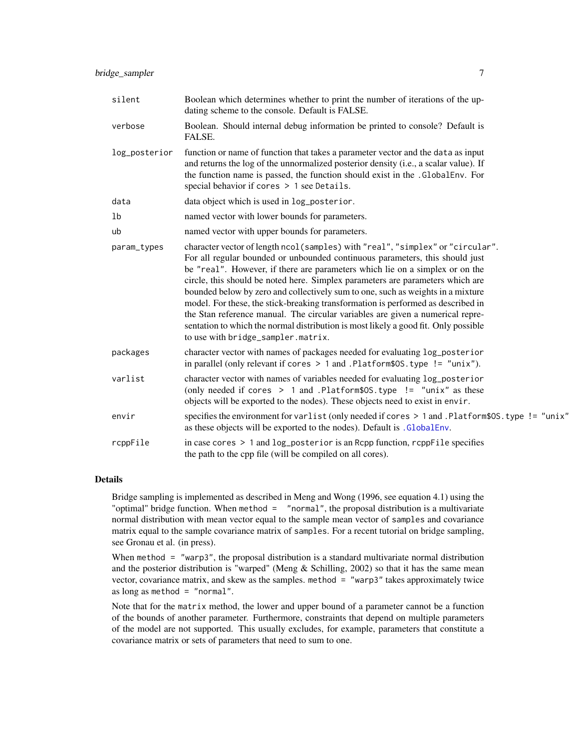| silent        | Boolean which determines whether to print the number of iterations of the up-<br>dating scheme to the console. Default is FALSE.                                                                                                                                                                                                                                                                                                                                                                                                                                                                                                                                                                                       |
|---------------|------------------------------------------------------------------------------------------------------------------------------------------------------------------------------------------------------------------------------------------------------------------------------------------------------------------------------------------------------------------------------------------------------------------------------------------------------------------------------------------------------------------------------------------------------------------------------------------------------------------------------------------------------------------------------------------------------------------------|
| verbose       | Boolean. Should internal debug information be printed to console? Default is<br>FALSE.                                                                                                                                                                                                                                                                                                                                                                                                                                                                                                                                                                                                                                 |
| log_posterior | function or name of function that takes a parameter vector and the data as input<br>and returns the log of the unnormalized posterior density (i.e., a scalar value). If<br>the function name is passed, the function should exist in the .GlobalEnv. For<br>special behavior if cores > 1 see Details.                                                                                                                                                                                                                                                                                                                                                                                                                |
| data          | data object which is used in log_posterior.                                                                                                                                                                                                                                                                                                                                                                                                                                                                                                                                                                                                                                                                            |
| 1b            | named vector with lower bounds for parameters.                                                                                                                                                                                                                                                                                                                                                                                                                                                                                                                                                                                                                                                                         |
| ub            | named vector with upper bounds for parameters.                                                                                                                                                                                                                                                                                                                                                                                                                                                                                                                                                                                                                                                                         |
| param_types   | character vector of length ncol(samples) with "real", "simplex" or "circular".<br>For all regular bounded or unbounded continuous parameters, this should just<br>be "real". However, if there are parameters which lie on a simplex or on the<br>circle, this should be noted here. Simplex parameters are parameters which are<br>bounded below by zero and collectively sum to one, such as weights in a mixture<br>model. For these, the stick-breaking transformation is performed as described in<br>the Stan reference manual. The circular variables are given a numerical repre-<br>sentation to which the normal distribution is most likely a good fit. Only possible<br>to use with bridge_sampler.matrix. |
| packages      | character vector with names of packages needed for evaluating log_posterior<br>in parallel (only relevant if cores $> 1$ and .Platform\$0S.type != "unix").                                                                                                                                                                                                                                                                                                                                                                                                                                                                                                                                                            |
| varlist       | character vector with names of variables needed for evaluating log_posterior<br>(only needed if cores $> 1$ and .Platform\$0S.type != "unix" as these<br>objects will be exported to the nodes). These objects need to exist in envir.                                                                                                                                                                                                                                                                                                                                                                                                                                                                                 |
| envir         | specifies the environment for varlist (only needed if cores > 1 and . Platform\$0S.type != "unix"<br>as these objects will be exported to the nodes). Default is .GlobalEnv.                                                                                                                                                                                                                                                                                                                                                                                                                                                                                                                                           |
| rcppFile      | in case cores $> 1$ and $log_{10}$ posterior is an Rcpp function, rcppFile specifies<br>the path to the cpp file (will be compiled on all cores).                                                                                                                                                                                                                                                                                                                                                                                                                                                                                                                                                                      |

# Details

Bridge sampling is implemented as described in Meng and Wong (1996, see equation 4.1) using the "optimal" bridge function. When method = "normal", the proposal distribution is a multivariate normal distribution with mean vector equal to the sample mean vector of samples and covariance matrix equal to the sample covariance matrix of samples. For a recent tutorial on bridge sampling, see Gronau et al. (in press).

When method = "warp3", the proposal distribution is a standard multivariate normal distribution and the posterior distribution is "warped" (Meng  $&$  Schilling, 2002) so that it has the same mean vector, covariance matrix, and skew as the samples. method = "warp3" takes approximately twice as long as method  $=$  "normal".

Note that for the matrix method, the lower and upper bound of a parameter cannot be a function of the bounds of another parameter. Furthermore, constraints that depend on multiple parameters of the model are not supported. This usually excludes, for example, parameters that constitute a covariance matrix or sets of parameters that need to sum to one.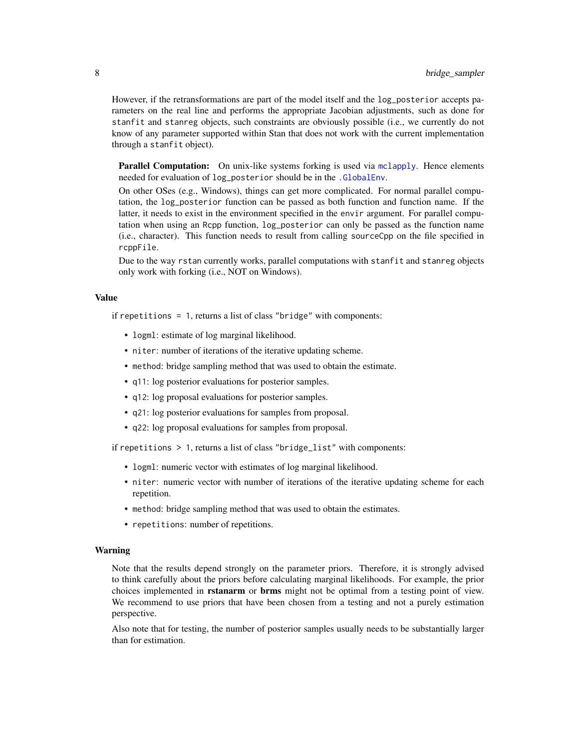<span id="page-7-0"></span>However, if the retransformations are part of the model itself and the log\_posterior accepts parameters on the real line and performs the appropriate Jacobian adjustments, such as done for stanfit and stanreg objects, such constraints are obviously possible (i.e., we currently do not know of any parameter supported within Stan that does not work with the current implementation through a stanfit object).

Parallel Computation: On unix-like systems forking is used via [mclapply](#page-0-0). Hence elements needed for evaluation of log\_posterior should be in the [.GlobalEnv](#page-0-0).

On other OSes (e.g., Windows), things can get more complicated. For normal parallel computation, the log\_posterior function can be passed as both function and function name. If the latter, it needs to exist in the environment specified in the envir argument. For parallel computation when using an Rcpp function, log\_posterior can only be passed as the function name (i.e., character). This function needs to result from calling sourceCpp on the file specified in rcppFile.

Due to the way rstan currently works, parallel computations with stanfit and stanreg objects only work with forking (i.e., NOT on Windows).

# Value

if repetitions = 1, returns a list of class "bridge" with components:

- logml: estimate of log marginal likelihood.
- niter: number of iterations of the iterative updating scheme.
- method: bridge sampling method that was used to obtain the estimate.
- q11: log posterior evaluations for posterior samples.
- q12: log proposal evaluations for posterior samples.
- q21: log posterior evaluations for samples from proposal.
- q22: log proposal evaluations for samples from proposal.

if repetitions > 1, returns a list of class "bridge\_list" with components:

- logml: numeric vector with estimates of log marginal likelihood.
- niter: numeric vector with number of iterations of the iterative updating scheme for each repetition.
- method: bridge sampling method that was used to obtain the estimates.
- repetitions: number of repetitions.

#### Warning

Note that the results depend strongly on the parameter priors. Therefore, it is strongly advised to think carefully about the priors before calculating marginal likelihoods. For example, the prior choices implemented in **rstanarm** or **brms** might not be optimal from a testing point of view. We recommend to use priors that have been chosen from a testing and not a purely estimation perspective.

Also note that for testing, the number of posterior samples usually needs to be substantially larger than for estimation.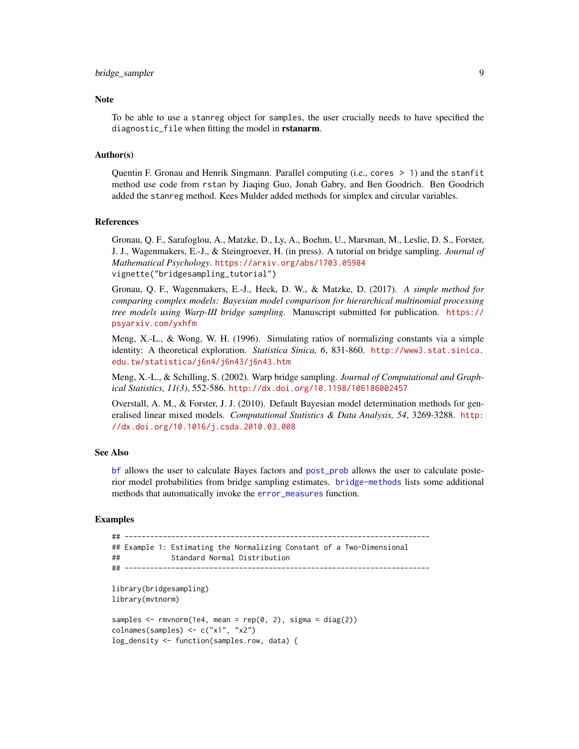# <span id="page-8-0"></span>bridge\_sampler 9

#### **Note**

To be able to use a stanreg object for samples, the user crucially needs to have specified the diagnostic\_file when fitting the model in rstanarm.

#### Author(s)

Quentin F. Gronau and Henrik Singmann. Parallel computing (i.e., cores > 1) and the stanfit method use code from rstan by Jiaqing Guo, Jonah Gabry, and Ben Goodrich. Ben Goodrich added the stanreg method. Kees Mulder added methods for simplex and circular variables.

#### References

Gronau, Q. F., Sarafoglou, A., Matzke, D., Ly, A., Boehm, U., Marsman, M., Leslie, D. S., Forster, J. J., Wagenmakers, E.-J., & Steingroever, H. (in press). A tutorial on bridge sampling. *Journal of Mathematical Psychology*. <https://arxiv.org/abs/1703.05984> vignette("bridgesampling\_tutorial")

Gronau, Q. F., Wagenmakers, E.-J., Heck, D. W., & Matzke, D. (2017). *A simple method for comparing complex models: Bayesian model comparison for hierarchical multinomial processing tree models using Warp-III bridge sampling*. Manuscript submitted for publication. [https://](https://psyarxiv.com/yxhfm) [psyarxiv.com/yxhfm](https://psyarxiv.com/yxhfm)

Meng, X.-L., & Wong, W. H. (1996). Simulating ratios of normalizing constants via a simple identity: A theoretical exploration. *Statistica Sinica, 6*, 831-860. [http://www3.stat.sinica.](http://www3.stat.sinica.edu.tw/statistica/j6n4/j6n43/j6n43.htm) [edu.tw/statistica/j6n4/j6n43/j6n43.htm](http://www3.stat.sinica.edu.tw/statistica/j6n4/j6n43/j6n43.htm)

Meng, X.-L., & Schilling, S. (2002). Warp bridge sampling. *Journal of Computational and Graphical Statistics, 11(3)*, 552-586. <http://dx.doi.org/10.1198/106186002457>

Overstall, A. M., & Forster, J. J. (2010). Default Bayesian model determination methods for generalised linear mixed models. *Computational Statistics & Data Analysis, 54*, 3269-3288. [http:](http://dx.doi.org/10.1016/j.csda.2010.03.008) [//dx.doi.org/10.1016/j.csda.2010.03.008](http://dx.doi.org/10.1016/j.csda.2010.03.008)

#### See Also

[bf](#page-1-1) allows the user to calculate Bayes factors and [post\\_prob](#page-18-1) allows the user to calculate posterior model probabilities from bridge sampling estimates. [bridge-methods](#page-3-1) lists some additional methods that automatically invoke the [error\\_measures](#page-12-1) function.

#### Examples

```
## ------------------------------------------------------------------------
## Example 1: Estimating the Normalizing Constant of a Two-Dimensional
## Standard Normal Distribution
## ------------------------------------------------------------------------
library(bridgesampling)
library(mvtnorm)
samples \leq rmvnorm(1e4, mean = rep(0, 2), sigma = diag(2))
colnames(samples) <- c("x1", "x2")
log_density <- function(samples.row, data) {
```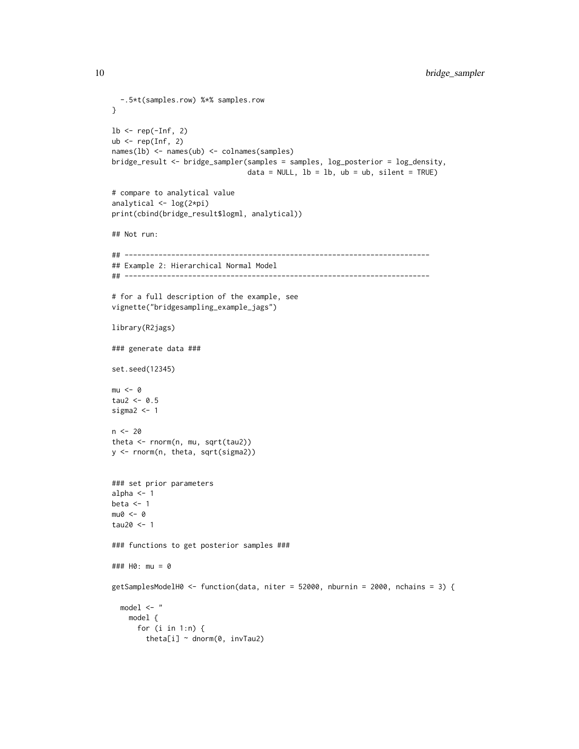```
-.5*t(samples.row) %*% samples.row
}
lb \leftarrow rep(-Inf, 2)ub \leq rep(Inf, 2)
names(lb) <- names(ub) <- colnames(samples)
bridge_result <- bridge_sampler(samples = samples, log_posterior = log_density,
                                data = NULL, lb = lb, ub = ub, silent = TRUE)
# compare to analytical value
analytical <- log(2*pi)
print(cbind(bridge_result$logml, analytical))
## Not run:
## ------------------------------------------------------------------------
## Example 2: Hierarchical Normal Model
## ------------------------------------------------------------------------
# for a full description of the example, see
vignette("bridgesampling_example_jags")
library(R2jags)
### generate data ###
set.seed(12345)
mu < -0tau2 < -0.5sigma2 < -1n < -20theta <- rnorm(n, mu, sqrt(tau2))
y <- rnorm(n, theta, sqrt(sigma2))
### set prior parameters
alpha <- 1
beta <-1mu0 < -0tau20 <- 1
### functions to get posterior samples ###
### H0: mu = 0
getSamplesModelH0 <- function(data, niter = 52000, nburnin = 2000, nchains = 3) {
  model \leq - "
   model {
     for (i in 1:n) {
       theta[i] \sim dnorm(0, invTau2)
```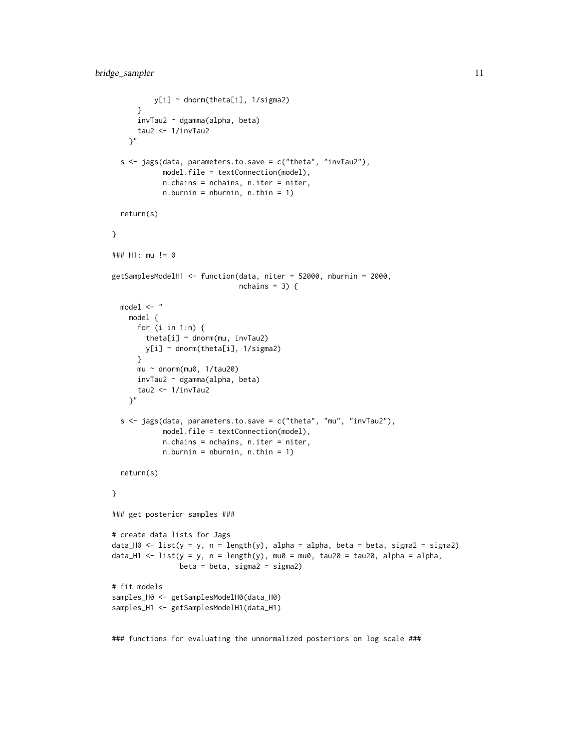```
y[i] ~ dnorm(theta[i], 1/sigma2)
      }
     invTau2 ~ dgamma(alpha, beta)
     tau2 <- 1/invTau2
    }"
 s \leq jags(data, parameters.to.save = c("theta", "invTau2"),model.file = textConnection(model),
            n.chains = nchains, n.iter = niter,
            n.burnin = \text{nburnin}, n.thin = 1)return(s)
}
### H1: mu != 0
getSamplesModelH1 <- function(data, niter = 52000, nburnin = 2000,
                              nchains = 3) {
 model <- "
   model {
     for (i in 1:n) {
       theta[i] ~ dnorm(mu, invTau2)
       y[i] ~ dnorm(theta[i], 1/sigma2)
      }
      mu ~ dnorm(mu0, 1/tau20)
     invTau2 ~ dgamma(alpha, beta)
     tau2 <- 1/invTau2
    }"
 s \leq jags(data, parameters.to.save = c("theta", "mu", "invTau2"),model.file = textConnection(model),
            n.chains = nchains, n.iter = niter,
            n.burnin = \text{nburnin}, n.thin = 1)return(s)
}
### get posterior samples ###
# create data lists for Jags
data_H0 <- list(y = y, n = length(y), alpha = alpha, beta = beta, sigma2 = sigma2)
data_H1 <- list(y = y, n = length(y), mu0 = mu0, tau20 = tau20, alpha = alpha,
                beta = beta, sigma2 = sigma2)
# fit models
samples_H0 <- getSamplesModelH0(data_H0)
samples_H1 <- getSamplesModelH1(data_H1)
```
### functions for evaluating the unnormalized posteriors on log scale ###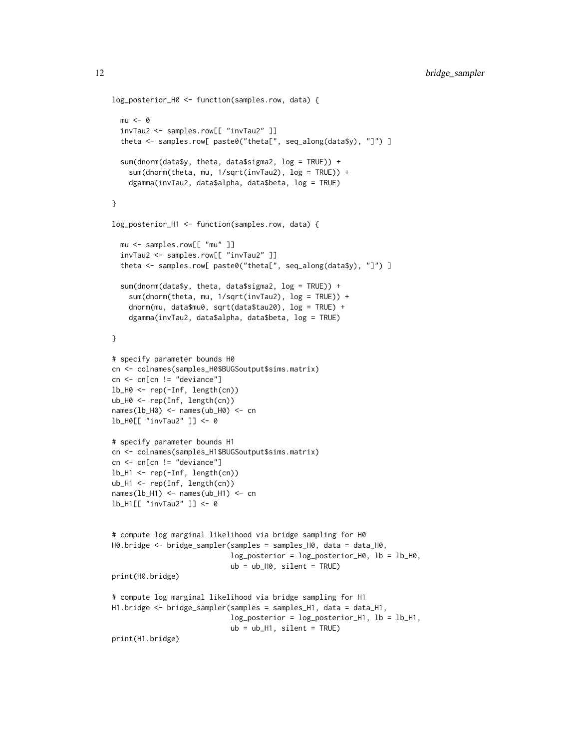```
log_posterior_H0 <- function(samples.row, data) {
  mu < - \thetainvTau2 <- samples.row[[ "invTau2" ]]
  theta <- samples.row[ paste0("theta[", seq_along(data$y), "]") ]
  sum(dnorm(data$y, theta, data$sigma2, log = TRUE)) +
    sum(dnorm(theta, mu, 1/sqrt(invTau2), log = TRUE)) +
    dgamma(invTau2, data$alpha, data$beta, log = TRUE)
}
log_posterior_H1 <- function(samples.row, data) {
  mu <- samples.row[[ "mu" ]]
  invTau2 <- samples.row[[ "invTau2" ]]
  theta <- samples.row[ paste0("theta[", seq_along(data$y), "]") ]
  sum(dnorm(data$y, theta, data$sigma2, log = TRUE)) +
    sum(dnorm(theta, mu, 1/sqrt(invTau2), log = TRUE)) +
    dnorm(mu, data$mu0, sqrt(data$tau20), log = TRUE) +
    dgamma(invTau2, data$alpha, data$beta, log = TRUE)
}
# specify parameter bounds H0
cn <- colnames(samples_H0$BUGSoutput$sims.matrix)
cn <- cn[cn != "deviance"]
lb_H0 <- rep(-Inf, length(cn))
ub_H0 <- rep(Inf, length(cn))
names(lb_H0) <- names(ub_H0) <- cn
lb_H0[[ "invTau2" ]] <- 0
# specify parameter bounds H1
cn <- colnames(samples_H1$BUGSoutput$sims.matrix)
cn <- cn[cn != "deviance"]
lb_H1 <- rep(-Inf, length(cn))
ub_H1 <- rep(Inf, length(cn))
names(lb_H1) <- names(ub_H1) <- cn
lb_H1[[ "invTau2" ]] <- 0
# compute log marginal likelihood via bridge sampling for H0
H0.bridge <- bridge_sampler(samples = samples_H0, data = data_H0,
                            log_posterior = log_posterior_H0, lb = lb_H0,
                            ub = ub_H0, silent = TRUE)
print(H0.bridge)
# compute log marginal likelihood via bridge sampling for H1
H1.bridge <- bridge_sampler(samples = samples_H1, data = data_H1,
                            log_posterior = log_posterior_H1, lb = lb_H1,
                            ub = ub_H1, silent = TRUE)
print(H1.bridge)
```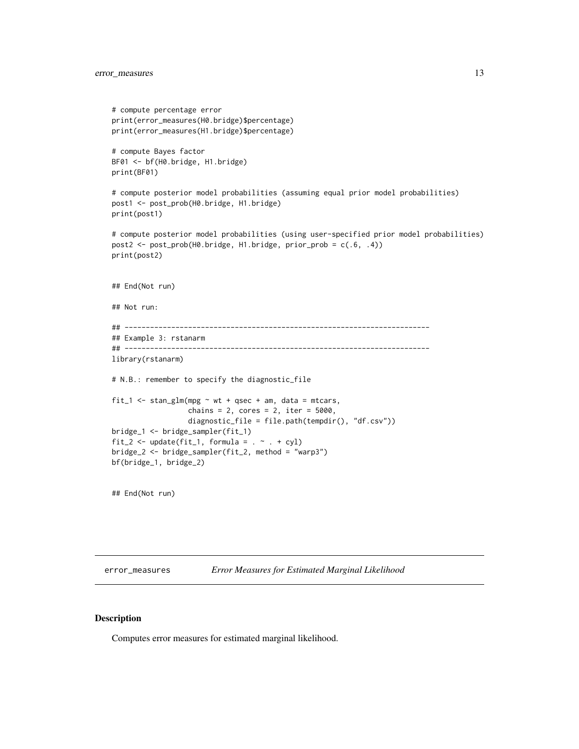# <span id="page-12-0"></span>error\_measures 13

```
# compute percentage error
print(error_measures(H0.bridge)$percentage)
print(error_measures(H1.bridge)$percentage)
# compute Bayes factor
BF01 <- bf(H0.bridge, H1.bridge)
print(BF01)
# compute posterior model probabilities (assuming equal prior model probabilities)
post1 <- post_prob(H0.bridge, H1.bridge)
print(post1)
# compute posterior model probabilities (using user-specified prior model probabilities)
post2 <- post_prob(H0.bridge, H1.bridge, prior_prob = c(.6, .4))
print(post2)
## End(Not run)
## Not run:
## ------------------------------------------------------------------------
## Example 3: rstanarm
## ------------------------------------------------------------------------
library(rstanarm)
# N.B.: remember to specify the diagnostic_file
fit_1 <- stan_glm(mpg \sim wt + qsec + am, data = mtcars,
                  chains = 2, cores = 2, iter = 5000,
                  diagnostic_file = file.path(tempdir(), "df.csv"))
bridge_1 <- bridge_sampler(fit_1)
fit_2 <- update(fit_1, formula = . ~ . + cyl)
bridge_2 <- bridge_sampler(fit_2, method = "warp3")
bf(bridge_1, bridge_2)
```
## End(Not run)

<span id="page-12-1"></span>error\_measures *Error Measures for Estimated Marginal Likelihood*

#### Description

Computes error measures for estimated marginal likelihood.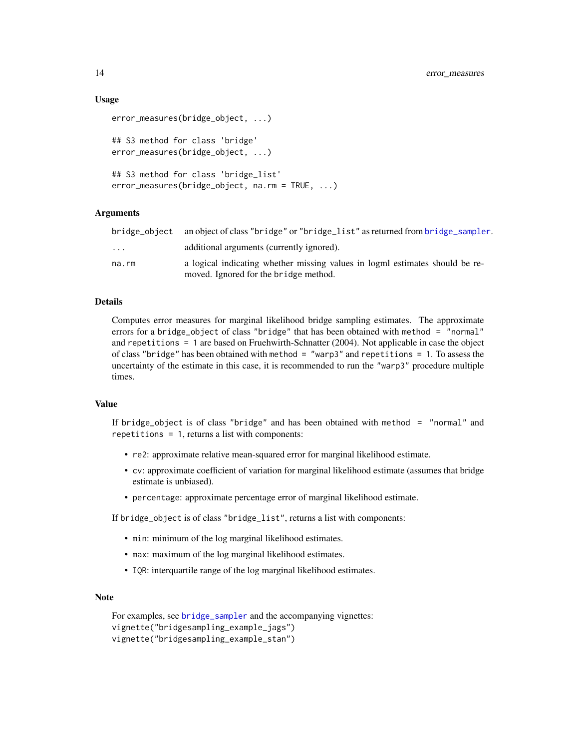#### Usage

```
error_measures(bridge_object, ...)
## S3 method for class 'bridge'
error_measures(bridge_object, ...)
## S3 method for class 'bridge_list'
error_measures(bridge_object, na.rm = TRUE, ...)
```
# Arguments

|          | bridge_object an object of class "bridge" or "bridge_list" as returned from bridge_sampler.                           |
|----------|-----------------------------------------------------------------------------------------------------------------------|
| $\cdots$ | additional arguments (currently ignored).                                                                             |
| na.rm    | a logical indicating whether missing values in logml estimates should be re-<br>moved. Ignored for the bridge method. |

# Details

Computes error measures for marginal likelihood bridge sampling estimates. The approximate errors for a bridge\_object of class "bridge" that has been obtained with method = "normal" and repetitions = 1 are based on Fruehwirth-Schnatter (2004). Not applicable in case the object of class "bridge" has been obtained with method  $=$  "warp3" and repetitions  $= 1$ . To assess the uncertainty of the estimate in this case, it is recommended to run the "warp3" procedure multiple times.

#### Value

If bridge\_object is of class "bridge" and has been obtained with method = "normal" and repetitions = 1, returns a list with components:

- re2: approximate relative mean-squared error for marginal likelihood estimate.
- cv: approximate coefficient of variation for marginal likelihood estimate (assumes that bridge estimate is unbiased).
- percentage: approximate percentage error of marginal likelihood estimate.

If bridge\_object is of class "bridge\_list", returns a list with components:

- min: minimum of the log marginal likelihood estimates.
- max: maximum of the log marginal likelihood estimates.
- IQR: interquartile range of the log marginal likelihood estimates.

# **Note**

```
For examples, see bridge_sampler and the accompanying vignettes:
vignette("bridgesampling_example_jags")
vignette("bridgesampling_example_stan")
```
<span id="page-13-0"></span>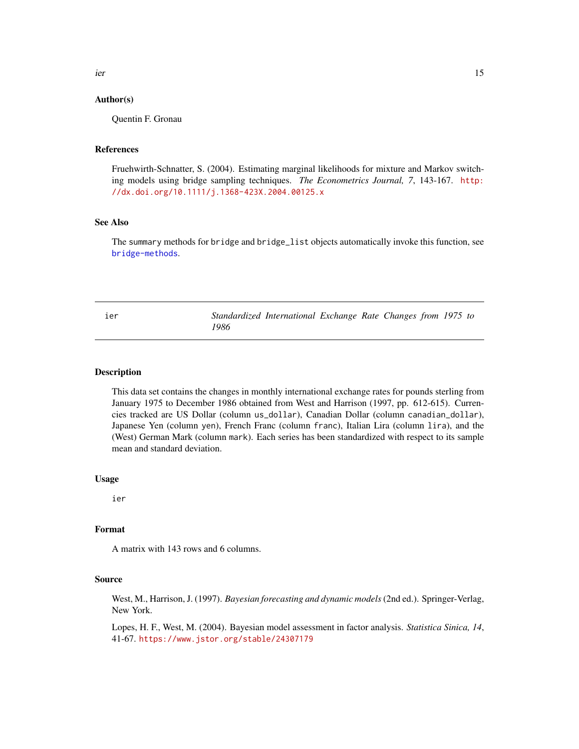<span id="page-14-0"></span>ier 15

#### Author(s)

Quentin F. Gronau

#### References

Fruehwirth-Schnatter, S. (2004). Estimating marginal likelihoods for mixture and Markov switching models using bridge sampling techniques. *The Econometrics Journal, 7*, 143-167. [http:](http://dx.doi.org/10.1111/j.1368-423X.2004.00125.x) [//dx.doi.org/10.1111/j.1368-423X.2004.00125.x](http://dx.doi.org/10.1111/j.1368-423X.2004.00125.x)

# See Also

The summary methods for bridge and bridge\_list objects automatically invoke this function, see [bridge-methods](#page-3-1).

ier *Standardized International Exchange Rate Changes from 1975 to 1986*

#### Description

This data set contains the changes in monthly international exchange rates for pounds sterling from January 1975 to December 1986 obtained from West and Harrison (1997, pp. 612-615). Currencies tracked are US Dollar (column us\_dollar), Canadian Dollar (column canadian\_dollar), Japanese Yen (column yen), French Franc (column franc), Italian Lira (column lira), and the (West) German Mark (column mark). Each series has been standardized with respect to its sample mean and standard deviation.

#### Usage

ier

# Format

A matrix with 143 rows and 6 columns.

#### Source

West, M., Harrison, J. (1997). *Bayesian forecasting and dynamic models*(2nd ed.). Springer-Verlag, New York.

Lopes, H. F., West, M. (2004). Bayesian model assessment in factor analysis. *Statistica Sinica, 14*, 41-67. <https://www.jstor.org/stable/24307179>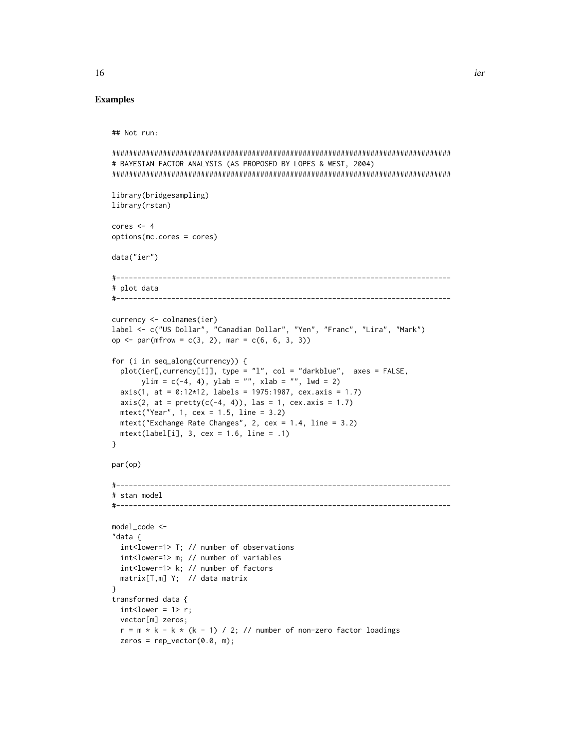#### Examples

```
## Not run:
```

```
################################################################################
# BAYESIAN FACTOR ANALYSIS (AS PROPOSED BY LOPES & WEST, 2004)
################################################################################
library(bridgesampling)
library(rstan)
cores <-4options(mc.cores = cores)
data("ier")
#-------------------------------------------------------------------------------
# plot data
#-------------------------------------------------------------------------------
currency <- colnames(ier)
label <- c("US Dollar", "Canadian Dollar", "Yen", "Franc", "Lira", "Mark")
op <- par(mfrow = c(3, 2), mar = c(6, 6, 3, 3))
for (i in seq_along(currency)) {
  plot(ier[,currency[i]], type = "l", col = "darkblue", axes = FALSE,
       ylim = c(-4, 4), ylab = "", xlab = "", lwd = 2)axis(1, at = 0:12*12, labels = 1975:1987, cex.axis = 1.7)axis(2, at = pretty(c(-4, 4)), las = 1, cex.axis = 1.7)mtext("Year", 1, cex = 1.5, line = 3.2)
 mtext("Exchange Rate Changes", 2, cex = 1.4, line = 3.2)
  mtext{text}(label[i], 3, cex = 1.6, line = .1)}
par(op)
#-------------------------------------------------------------------------------
# stan model
#-------------------------------------------------------------------------------
model_code <-
"data {
  int<lower=1> T; // number of observations
  int<lower=1> m; // number of variables
  int<lower=1> k; // number of factors
  matrix[T,m] Y; // data matrix
}
transformed data {
  int < Lower = 1> r;
  vector[m] zeros;
  r = m * k - k * (k - 1) / 2; // number of non-zero factor loadings
  zeros = rep\_vector(0.0, m);
```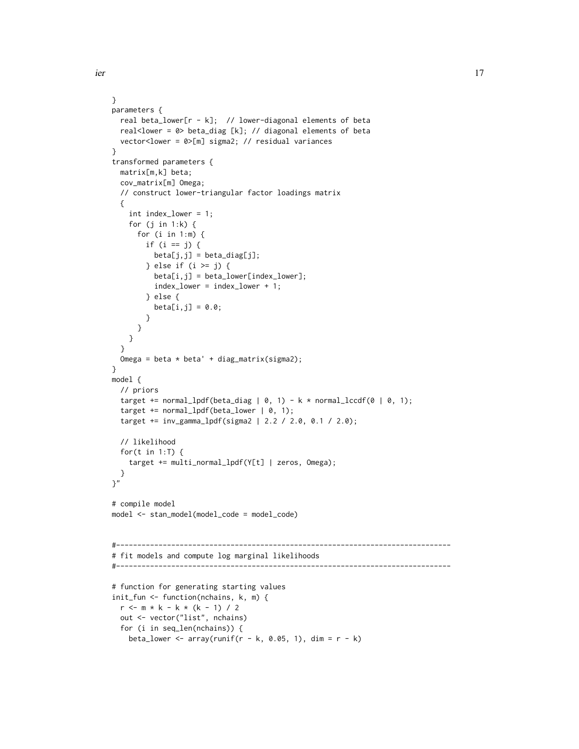}

}

{

} model { // priors

parameters {

matrix[m,k] beta; cov\_matrix[m] Omega;

> for (j in 1:k) { for (i in 1:m) { if  $(i == j)$  {

> > } else {

} } } }

```
ier 17
    real beta_lower[r - k]; // lower-diagonal elements of beta
    real<lower = 0> beta_diag [k]; // diagonal elements of beta
    vector<lower = 0>[m] sigma2; // residual variances
   transformed parameters {
    // construct lower-triangular factor loadings matrix
      int index_lower = 1;
           beta[j,j] = beta\_diag[j];} else if (i >= j) {
           beta[i,j] = beta_lower[index_lower];
           index_lower = index_lower + 1;
           beta[i,j] = 0.0;Omega = beta * beta' + diag_matrix(sigma2);
    target += normal_lpdf(beta_diag | 0, 1) - k * normal_lccdf(0 | 0, 1);
```

```
target += normal_lpdf(beta_lower | 0, 1);
target += inv_gamma_lpdf(sigma2 | 2.2 / 2.0, 0.1 / 2.0);
// likelihood
for(t in 1:T) \{target += multi_normal_lpdf(Y[t] | zeros, Omega);
```

```
}
}"
```

```
# compile model
model <- stan_model(model_code = model_code)
```

```
#-------------------------------------------------------------------------------
# fit models and compute log marginal likelihoods
#-------------------------------------------------------------------------------
# function for generating starting values
init_fun <- function(nchains, k, m) {
 r <- m * k - k * (k - 1) / 2
```

```
out <- vector("list", nchains)
for (i in seq_len(nchains)) {
 beta_lower <- array(runit(r - k, 0.05, 1), dim = r - k)
```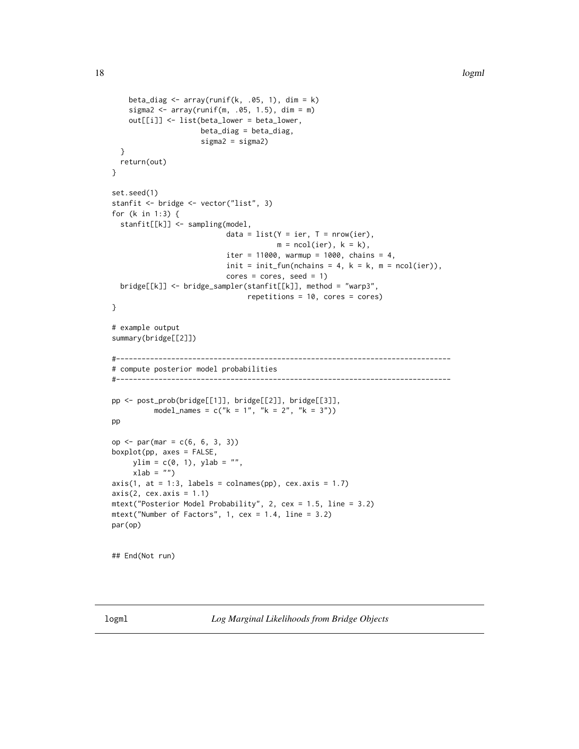```
beta_diag \leq array(runif(k, .05, 1), dim = k)
   sigma2 \leq array(runif(m, .05, 1.5), dim = m)
   out[[i]] <- list(beta_lower = beta_lower,
                    beta_diag = beta_diag,
                     sigma2 = sigma2)
 }
 return(out)
}
set.seed(1)
stanfit <- bridge <- vector("list", 3)
for (k in 1:3) {
 stanfit[[k]] <- sampling(model,
                           data = list(Y = ier, T = nrow(ier),m = ncol(ier), k = k),iter = 11000, warmup = 1000, chains = 4,
                           init = init_fun(nchains = 4, k = k, m = ncol(ier)),cores = cores, seed = 1)bridge[[k]] <- bridge_sampler(stanfit[[k]], method = "warp3",
                                repetitions = 10, cores = cores)
}
# example output
summary(bridge[[2]])
#-------------------------------------------------------------------------------
# compute posterior model probabilities
#-------------------------------------------------------------------------------
pp <- post_prob(bridge[[1]], bridge[[2]], bridge[[3]],
         model_names = c("k = 1", "k = 2", "k = 3"))pp
op <- par(mar = c(6, 6, 3, 3))
boxplot(pp, axes = FALSE,
    ylim = c(0, 1), ylab = "",
    xlab = ")
axis(1, at = 1:3, labels = columns(pp), cex.axis = 1.7)axis(2, cex.axis = 1.1)mtext("Posterior Model Probability", 2, cex = 1.5, line = 3.2)
mtext("Number of Factors", 1, cex = 1.4, line = 3.2)
par(op)
```
## End(Not run)

<span id="page-17-1"></span>logml *Log Marginal Likelihoods from Bridge Objects*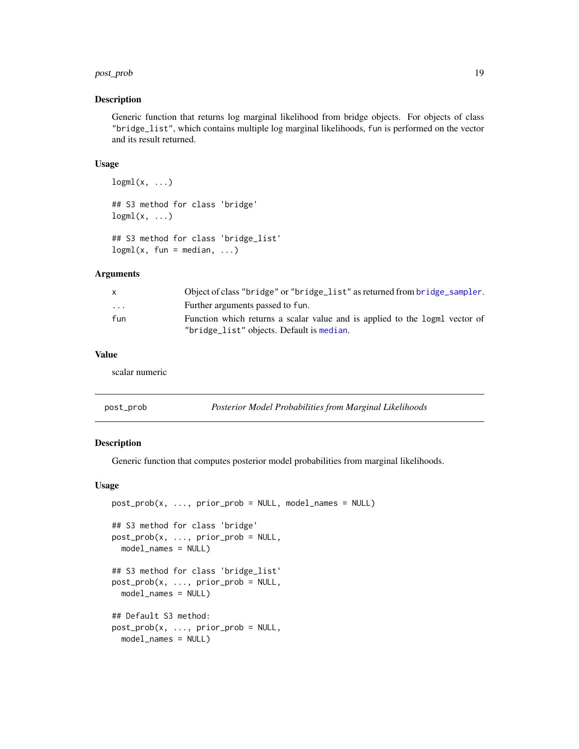#### <span id="page-18-0"></span>post\_prob the contract of the contract of the contract of the contract of the contract of the contract of the contract of the contract of the contract of the contract of the contract of the contract of the contract of the

#### Description

Generic function that returns log marginal likelihood from bridge objects. For objects of class "bridge\_list", which contains multiple log marginal likelihoods, fun is performed on the vector and its result returned.

#### Usage

```
logml(x, \ldots)## S3 method for class 'bridge'
logml(x, \ldots)
```

```
## S3 method for class 'bridge_list'
logml(x, fun = median, ...)
```
# Arguments

| X.                      | Object of class "bridge" or "bridge_list" as returned from bridge_sampler.                                               |
|-------------------------|--------------------------------------------------------------------------------------------------------------------------|
| $\cdot$ $\cdot$ $\cdot$ | Further arguments passed to fun.                                                                                         |
| fun                     | Function which returns a scalar value and is applied to the logml vector of<br>"bridge_list" objects. Default is median. |

#### Value

scalar numeric

<span id="page-18-1"></span>

|  | post_prob | Posterior Model Probabilities from Marginal Likelihoods |
|--|-----------|---------------------------------------------------------|
|--|-----------|---------------------------------------------------------|

# Description

Generic function that computes posterior model probabilities from marginal likelihoods.

# Usage

```
post\_prob(x, ..., prior\_prob = NULL, model\_names = NULL)## S3 method for class 'bridge'
post\_prob(x, ..., prior\_prob = NULL,model_names = NULL)
## S3 method for class 'bridge_list'
post_prob(x, ..., prior_prob = NULL,
  model_names = NULL)
## Default S3 method:
post\_prob(x, ..., prior\_prob = NULL,model_names = NULL)
```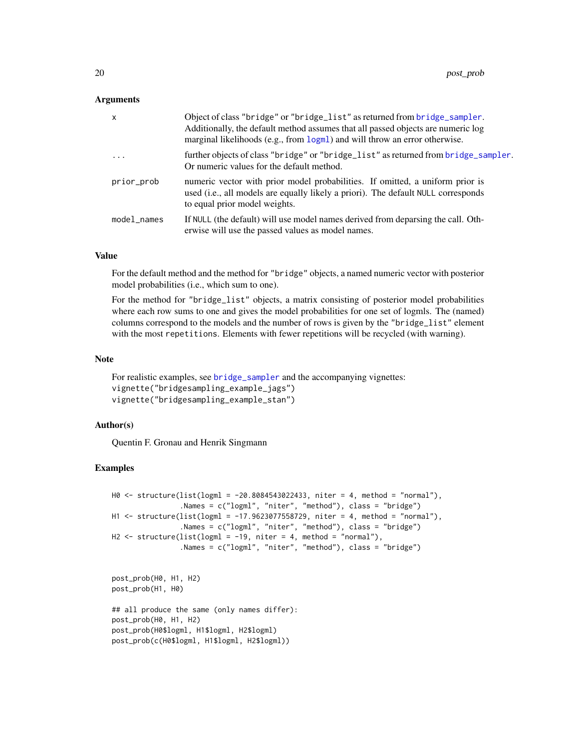#### <span id="page-19-0"></span>Arguments

| $\mathsf{x}$ | Object of class "bridge" or "bridge_list" as returned from bridge_sampler.<br>Additionally, the default method assumes that all passed objects are numeric log<br>marginal likelihoods (e.g., from logml) and will throw an error otherwise. |
|--------------|----------------------------------------------------------------------------------------------------------------------------------------------------------------------------------------------------------------------------------------------|
| .            | further objects of class "bridge" or "bridge_list" as returned from bridge_sampler.<br>Or numeric values for the default method.                                                                                                             |
| prior_prob   | numeric vector with prior model probabilities. If omitted, a uniform prior is<br>used (i.e., all models are equally likely a priori). The default NULL corresponds<br>to equal prior model weights.                                          |
| model_names  | If NULL (the default) will use model names derived from deparsing the call. Oth-<br>erwise will use the passed values as model names.                                                                                                        |

# Value

For the default method and the method for "bridge" objects, a named numeric vector with posterior model probabilities (i.e., which sum to one).

For the method for "bridge\_list" objects, a matrix consisting of posterior model probabilities where each row sums to one and gives the model probabilities for one set of logmls. The (named) columns correspond to the models and the number of rows is given by the "bridge\_list" element with the most repetitions. Elements with fewer repetitions will be recycled (with warning).

#### Note

For realistic examples, see [bridge\\_sampler](#page-4-1) and the accompanying vignettes: vignette("bridgesampling\_example\_jags") vignette("bridgesampling\_example\_stan")

# Author(s)

Quentin F. Gronau and Henrik Singmann

# Examples

```
H0 <- structure(list(logml = -20.8084543022433, niter = 4, method = "normal"),
                .Names = c("logml", "niter", "method"), class = "bridge")
H1 <- structure(list(logml = -17.9623077558729, niter = 4, method = "normal"),
                .Names = c("logml", "niter", "method"), class = "bridge")
H2 \le structure(list(logml = -19, niter = 4, method = "normal"),
                .Names = c("logml", "niter", "method"), class = "bridge")
```

```
post_prob(H0, H1, H2)
post_prob(H1, H0)
```

```
## all produce the same (only names differ):
post_prob(H0, H1, H2)
post_prob(H0$logml, H1$logml, H2$logml)
post_prob(c(H0$logml, H1$logml, H2$logml))
```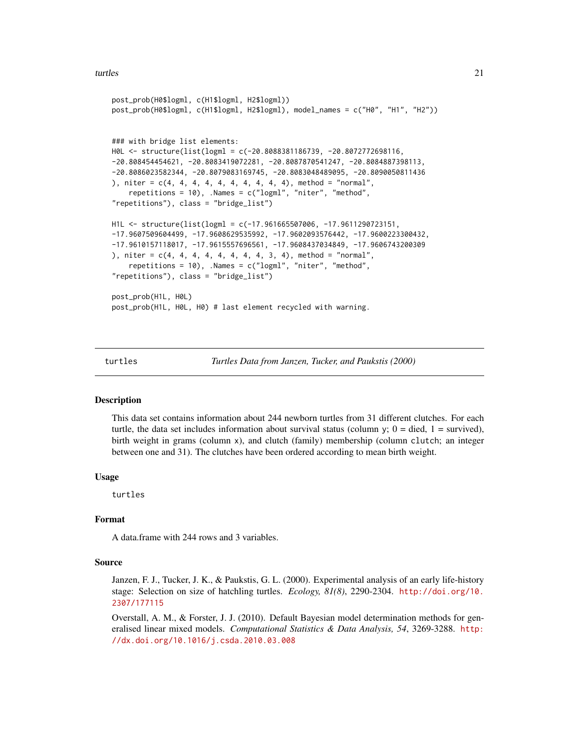#### <span id="page-20-0"></span>turtles 21

```
post_prob(H0$logml, c(H1$logml, H2$logml))
post_prob(H0$logml, c(H1$logml, H2$logml), model_names = c("H0", "H1", "H2"))
### with bridge list elements:
H0L <- structure(list(logml = c(-20.8088381186739, -20.8072772698116,
-20.808454454621, -20.8083419072281, -20.8087870541247, -20.8084887398113,
-20.8086023582344, -20.8079083169745, -20.8083048489095, -20.8090050811436
), niter = c(4, 4, 4, 4, 4, 4, 4, 4, 4, 4), method = "normal",
    repetitions = 10), .Names = c("logml", "niter", "method",
"repetitions"), class = "bridge_list")
H1L <- structure(list(logml = c(-17.961665507006, -17.9611290723151,
-17.9607509604499, -17.9608629535992, -17.9602093576442, -17.9600223300432,
-17.9610157118017, -17.9615557696561, -17.9608437034849, -17.9606743200309
), niter = c(4, 4, 4, 4, 4, 4, 4, 4, 3, 4), method = "normal",
    repetitions = 10), .Names = c("logml", "niter", "method",
"repetitions"), class = "bridge_list")
post_prob(H1L, H0L)
post_prob(H1L, H0L, H0) # last element recycled with warning.
```
turtles *Turtles Data from Janzen, Tucker, and Paukstis (2000)*

#### Description

This data set contains information about 244 newborn turtles from 31 different clutches. For each turtle, the data set includes information about survival status (column y;  $0 =$  died,  $1 =$  survived), birth weight in grams (column x), and clutch (family) membership (column clutch; an integer between one and 31). The clutches have been ordered according to mean birth weight.

#### Usage

turtles

# Format

A data.frame with 244 rows and 3 variables.

#### Source

Janzen, F. J., Tucker, J. K., & Paukstis, G. L. (2000). Experimental analysis of an early life-history stage: Selection on size of hatchling turtles. *Ecology, 81(8)*, 2290-2304. [http://doi.org/10.](http://doi.org/10.2307/177115) [2307/177115](http://doi.org/10.2307/177115)

Overstall, A. M., & Forster, J. J. (2010). Default Bayesian model determination methods for generalised linear mixed models. *Computational Statistics & Data Analysis, 54*, 3269-3288. [http:](http://dx.doi.org/10.1016/j.csda.2010.03.008) [//dx.doi.org/10.1016/j.csda.2010.03.008](http://dx.doi.org/10.1016/j.csda.2010.03.008)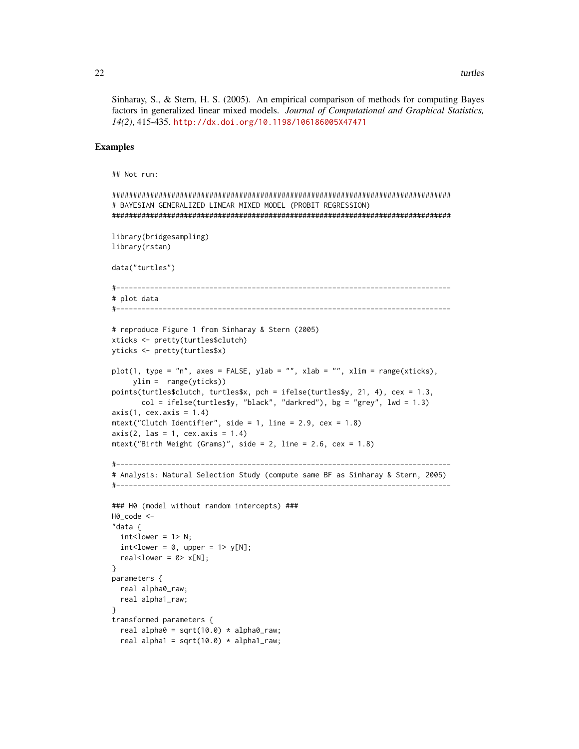Sinharay, S., & Stern, H. S. (2005). An empirical comparison of methods for computing Bayes factors in generalized linear mixed models. *Journal of Computational and Graphical Statistics, 14(2)*, 415-435. <http://dx.doi.org/10.1198/106186005X47471>

### Examples

```
## Not run:
```

```
################################################################################
# BAYESIAN GENERALIZED LINEAR MIXED MODEL (PROBIT REGRESSION)
################################################################################
library(bridgesampling)
library(rstan)
data("turtles")
#-------------------------------------------------------------------------------
# plot data
#-------------------------------------------------------------------------------
# reproduce Figure 1 from Sinharay & Stern (2005)
xticks <- pretty(turtles$clutch)
yticks <- pretty(turtles$x)
plot(1, type = "n", axes = FALSE, ylab = "", xlab = "", xlim = range(xticks),
     ylim = range(yticks))
points(turtles$clutch, turtles$x, pch = ifelse(turtles$y, 21, 4), cex = 1.3,
       col = ifelse(turtles\{sy}, "black", "darkred"), bg = "grey", lwd = 1.3)
axis(1, cex.axis = 1.4)mtext("Clutch Identifier", side = 1, line = 2.9, cex = 1.8)
axis(2, 1as = 1, cex. axis = 1.4)mtext("Birth Weight (Grams)", side = 2, line = 2.6, cex = 1.8)
#-------------------------------------------------------------------------------
# Analysis: Natural Selection Study (compute same BF as Sinharay & Stern, 2005)
#-------------------------------------------------------------------------------
### H0 (model without random intercepts) ###
H0_code <-
"data {
  int < Lower = 1> N;
  int < lower = 0, upper = 1> y[N];
  real<lower = 0 > x[N];}
parameters {
  real alpha0_raw;
  real alpha1_raw;
}
transformed parameters {
  real alpha0 = sqrt(10.0) * alpha0_raw;
```

```
real alpha1 = sqrt(10.0) * alpha1_{raw};
```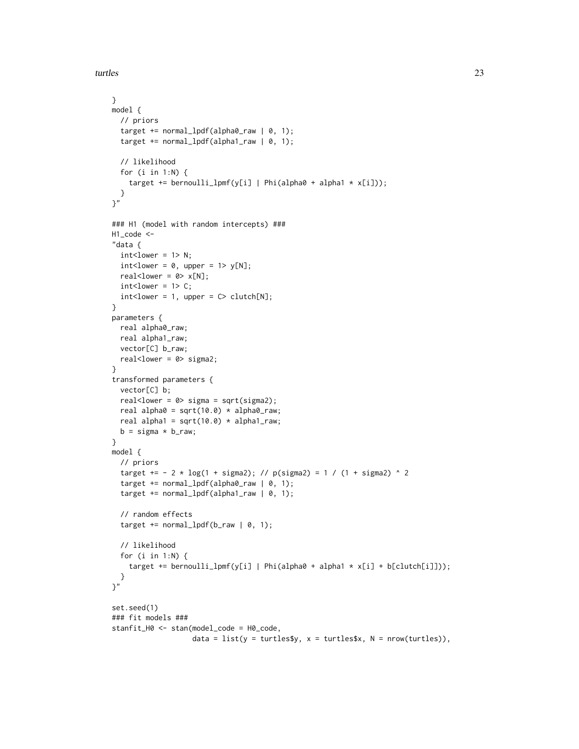turtles 23

```
}
model {
  // priors
  target += normal_lpdf(alpha0_raw | 0, 1);
  target += normal_lpdf(alpha1_raw | 0, 1);
  // likelihood
  for (i in 1:N) {
    target += bernoulli_lpmf(y[i] | Phi(alpha0 + alpha1 * x[i]));
  }
}"
### H1 (model with random intercepts) ###
H1_code <-
"data {
 int < Lower = 1> N;
  int < lower = 0, upper = 1> y[N];
  real<lower = 0 > x[N];
  int < Lower = 1> C;
  int < lower = 1, upper = C > clutch[N];
}
parameters {
  real alpha0_raw;
  real alpha1_raw;
  vector[C] b_raw;
  real<lower = 0> sigma2;
}
transformed parameters {
  vector[C] b;
  real<lower = 0> sigma = sqrt(sigma2);
  real alpha0 = sqrt(10.0) * alpha0<sub>raw;</sub>
  real alpha1 = sqrt(10.0) * alpha1_{raw};
  b = sigma * b_raw;
}
model {
  // priors
  target += - 2 * log(1 + sigma2); // p(sigma2) = 1 / (1 + sigma2) ^ 2
  target += normal_lpdf(alpha0_raw | 0, 1);
  target += normal_lpdf(alpha1_raw | 0, 1);
  // random effects
  target += normal_lpdf(b_raw | 0, 1);// likelihood
  for (i in 1:N) {
    target += bernoulli_lpmf(y[i] | Phi(alpha0 + alpha1 * x[i] + b[clutch[i]]));
  }
}"
set.seed(1)
### fit models ###
stanfit_H0 <- stan(model_code = H0_code,
                   data = list(y = turtles\ y, x = turtles\ x, N = nrow(turtles)),
```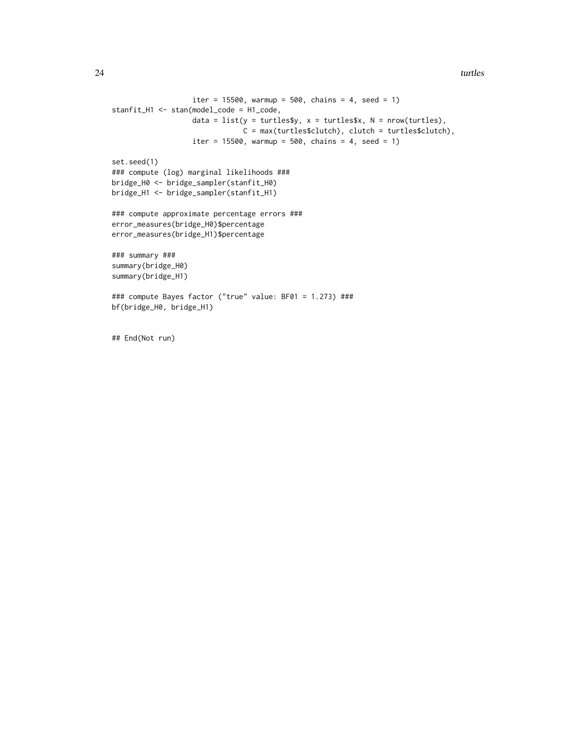```
iter = 15500, warmup = 500, chains = 4, seed = 1)
stanfit_H1 <- stan(model_code = H1_code,
                  data = list(y = turtles\ y, x = turtles\ x, N = nrow(turtles),
                               C = max(turtles$clutch), clutch = turtles$clutch),
                   iter = 15500, warmup = 500, chains = 4, seed = 1)
set.seed(1)
### compute (log) marginal likelihoods ###
bridge_H0 <- bridge_sampler(stanfit_H0)
bridge_H1 <- bridge_sampler(stanfit_H1)
### compute approximate percentage errors ###
error_measures(bridge_H0)$percentage
error_measures(bridge_H1)$percentage
### summary ###
summary(bridge_H0)
summary(bridge_H1)
### compute Bayes factor ("true" value: BF01 = 1.273) ###
bf(bridge_H0, bridge_H1)
```

```
## End(Not run)
```